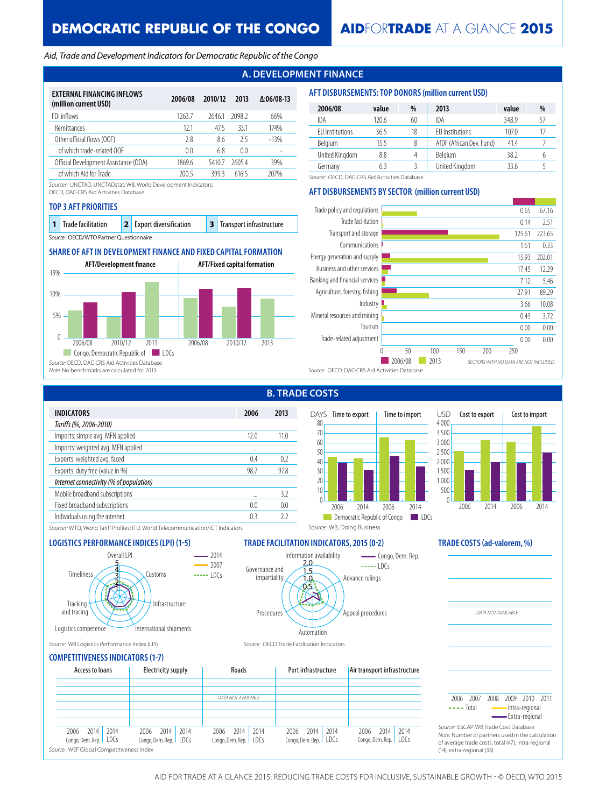## *Aid, Trade and Development Indicators for Democratic Republic of the Congo*

# **A. DEVELOPMENT FINANCE**

| EXTERNAL FINANCING INFLOWS<br>(million current USD) | 2006/08        | 2010/12 | 2013   | $\Delta:06/08-13$ |
|-----------------------------------------------------|----------------|---------|--------|-------------------|
| FDI inflows                                         | 1263.7         | 26461   | 2098.2 | 66%               |
| Remittances                                         | 121            | 47.5    | 331    | 174%              |
| Other official flows (OOF)                          | 2.8            | 8.6     | 25     | $-13%$            |
| of which trade-related OOF                          | 0 <sub>0</sub> | 6.8     | 0.0    |                   |
| Official Development Assistance (ODA)               | 18696          | 54107   | 26054  | 39%               |
| of which Aid for Trade                              | 200.5          | 3993    | 6165   | 207%              |

*Sources:* UNCTAD, UNCTADstat; WB, World Development Indicators;

OECD, DAC-CRS Aid Activities Database

### **TOP 3 AFT PRIORITIES**

| $\vert$ 1 Trade facilitation           |  | 2 Export diversification |  | 3 Transport infrastructure |  |  |
|----------------------------------------|--|--------------------------|--|----------------------------|--|--|
| Source: OECD/WTO Partner Questionnaire |  |                          |  |                            |  |  |

# **SHARE OF AFT IN DEVELOPMENT FINANCE AND FIXED CAPITAL FORMATION**



#### **AFT DISBURSEMENTS: TOP DONORS (million current USD)**

| 2006/08                | value | %  | 2013                     | value | %  |
|------------------------|-------|----|--------------------------|-------|----|
| IDA                    | 120.6 | 60 | IDA                      | 348.9 | 57 |
| <b>EU</b> Institutions | 36.5  | 18 | EU Institutions          | 107.0 |    |
| Belgium                | 15.5  |    | AfDF (African Dev. Fund) | 41.4  |    |
| United Kingdom         | 8.8   | 4  | Belgium                  | 38.2  | b  |
| Germany                | 63    |    | United Kingdom           | 336   |    |

*Source:* OECD, DAC-CRS Aid Activities Database

## **AFT DISBURSEMENTS BY SECTOR (million current USD)**



**B. TRADE COSTS**

| <b>INDICATORS</b>                       | 2006 | 2013 |
|-----------------------------------------|------|------|
| Tariffs (%, 2006-2010)                  |      |      |
| Imports: simple avg. MFN applied        | 12.0 | 11.0 |
| Imports: weighted avg. MFN applied      |      |      |
| Exports: weighted avg. faced            | 0.4  | 0.2  |
| Exports: duty free (value in %)         | 98.7 | 97.8 |
| Internet connectivity (% of population) |      |      |
| Mobile broadband subscriptions          |      | 3.2  |
| Fixed broadband subscriptions           | 0.0  | 0.0  |
| Individuals using the internet          | 0.3  | 22   |
|                                         |      |      |





*DATA NOT AVAILABLE*

*Sources:* WTO, World Tariff Profiles; ITU, World Telecommunication/ICT Indicators

## **LOGISTICS PERFORMANCE INDICES (LPI) (1-5) TRADE FACILITATION INDICATORS, 2015 (0-2) TRADE COSTS (ad-valorem, %)**



*Source:* WB, Doing Business



*Source:* WB Logistics Performance Index (LPI) *Source:* OECD Trade Facilitation Indicators

## **COMPETITIVENESS INDICATORS (1-7)**

| SOMELITIVENEJJ INDISATORJU († 77                                                            |                                                 |                                                 |                                                 |                                                  |                                                                                                                                                                             |
|---------------------------------------------------------------------------------------------|-------------------------------------------------|-------------------------------------------------|-------------------------------------------------|--------------------------------------------------|-----------------------------------------------------------------------------------------------------------------------------------------------------------------------------|
| Access to loans                                                                             | Electricity supply                              | Roads                                           | Port infrastructure                             | Air transport infrastructure                     |                                                                                                                                                                             |
|                                                                                             |                                                 | DATA NOT AVAILABLE                              |                                                 |                                                  | 2010 2011<br>2009<br>2007<br>2008<br>2006<br>$\cdots$ Total<br>-Intra-regional<br>Extra-regional                                                                            |
| 2014<br>2014<br>2006<br>Congo, Dem. Rep.   LDCs<br>Source: WEF Global Competitiveness Index | 2014<br>2014<br>2006<br>Congo, Dem. Rep.   LDCs | 2014<br>2014<br>2006<br>Congo, Dem. Rep.   LDCs | 2014<br>2014<br>2006<br>Congo, Dem. Rep.   LDCs | 2014<br> 2014<br>2006<br>Congo, Dem. Rep.   LDCs | Source: ESCAP-WB Trade Cost Database<br>Note: Number of partners used in the calculation<br>of average trade costs: total (47), intra-regional<br>(14), extra-regional (33) |